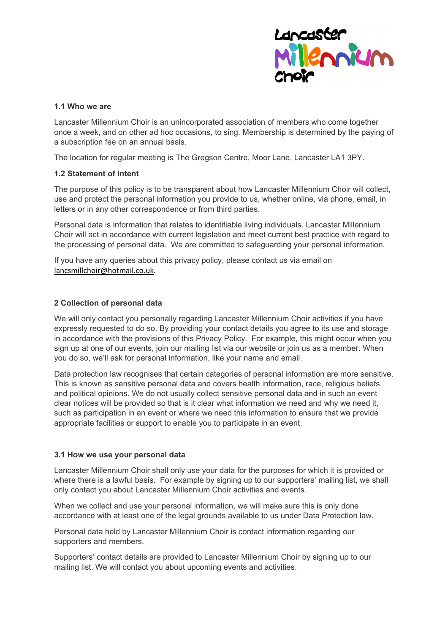

#### **1.1 Who we are**

Lancaster Millennium Choir is an unincorporated association of members who come together once a week, and on other ad hoc occasions, to sing. Membership is determined by the paying of a subscription fee on an annual basis.

The location for regular meeting is The Gregson Centre, Moor Lane, Lancaster LA1 3PY.

### **1.2 Statement of intent**

The purpose of this policy is to be transparent about how Lancaster Millennium Choir will collect, use and protect the personal information you provide to us, whether online, via phone, email, in letters or in any other correspondence or from third parties.

Personal data is information that relates to identifiable living individuals. Lancaster Millennium Choir will act in accordance with current legislation and meet current best practice with regard to the processing of personal data. We are committed to safeguarding your personal information.

If you have any queries about this privacy policy, please contact us via email on lancsmillchoir@hotmail.co.uk.

### **2 Collection of personal data**

We will only contact you personally regarding Lancaster Millennium Choir activities if you have expressly requested to do so. By providing your contact details you agree to its use and storage in accordance with the provisions of this Privacy Policy. For example, this might occur when you sign up at one of our events, join our mailing list via our website or join us as a member. When you do so, we'll ask for personal information, like your name and email.

Data protection law recognises that certain categories of personal information are more sensitive. This is known as sensitive personal data and covers health information, race, religious beliefs and political opinions. We do not usually collect sensitive personal data and in such an event clear notices will be provided so that is it clear what information we need and why we need it, such as participation in an event or where we need this information to ensure that we provide appropriate facilities or support to enable you to participate in an event.

#### **3.1 How we use your personal data**

Lancaster Millennium Choir shall only use your data for the purposes for which it is provided or where there is a lawful basis. For example by signing up to our supporters' mailing list, we shall only contact you about Lancaster Millennium Choir activities and events.

When we collect and use your personal information, we will make sure this is only done accordance with at least one of the legal grounds available to us under Data Protection law.

Personal data held by Lancaster Millennium Choir is contact information regarding our supporters and members.

Supporters' contact details are provided to Lancaster Millennium Choir by signing up to our mailing list. We will contact you about upcoming events and activities.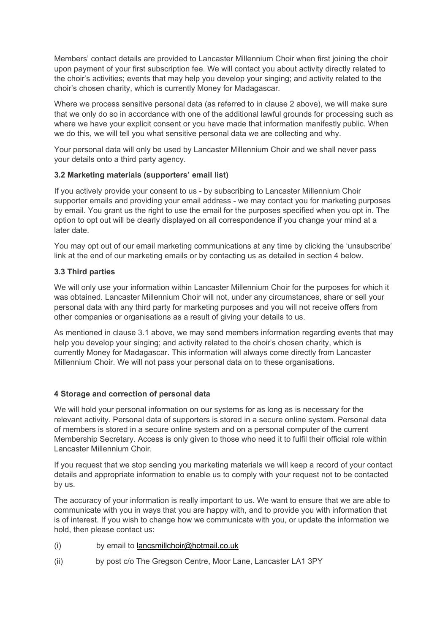Members' contact details are provided to Lancaster Millennium Choir when first joining the choir upon payment of your first subscription fee. We will contact you about activity directly related to the choir's activities; events that may help you develop your singing; and activity related to the choir's chosen charity, which is currently Money for Madagascar.

Where we process sensitive personal data (as referred to in clause 2 above), we will make sure that we only do so in accordance with one of the additional lawful grounds for processing such as where we have your explicit consent or you have made that information manifestly public. When we do this, we will tell you what sensitive personal data we are collecting and why.

Your personal data will only be used by Lancaster Millennium Choir and we shall never pass your details onto a third party agency.

## **3.2 Marketing materials (supporters' email list)**

If you actively provide your consent to us - by subscribing to Lancaster Millennium Choir supporter emails and providing your email address - we may contact you for marketing purposes by email. You grant us the right to use the email for the purposes specified when you opt in. The option to opt out will be clearly displayed on all correspondence if you change your mind at a later date.

You may opt out of our email marketing communications at any time by clicking the 'unsubscribe' link at the end of our marketing emails or by contacting us as detailed in section 4 below.

### **3.3 Third parties**

We will only use your information within Lancaster Millennium Choir for the purposes for which it was obtained. Lancaster Millennium Choir will not, under any circumstances, share or sell your personal data with any third party for marketing purposes and you will not receive offers from other companies or organisations as a result of giving your details to us.

As mentioned in clause 3.1 above, we may send members information regarding events that may help you develop your singing; and activity related to the choir's chosen charity, which is currently Money for Madagascar. This information will always come directly from Lancaster Millennium Choir. We will not pass your personal data on to these organisations.

## **4 Storage and correction of personal data**

We will hold your personal information on our systems for as long as is necessary for the relevant activity. Personal data of supporters is stored in a secure online system. Personal data of members is stored in a secure online system and on a personal computer of the current Membership Secretary. Access is only given to those who need it to fulfil their official role within Lancaster Millennium Choir.

If you request that we stop sending you marketing materials we will keep a record of your contact details and appropriate information to enable us to comply with your request not to be contacted by us.

The accuracy of your information is really important to us. We want to ensure that we are able to communicate with you in ways that you are happy with, and to provide you with information that is of interest. If you wish to change how we communicate with you, or update the information we hold, then please contact us:

- (i) by email to lancsmillchoir@hotmail.co.uk
- (ii) by post c/o The Gregson Centre, Moor Lane, Lancaster LA1 3PY